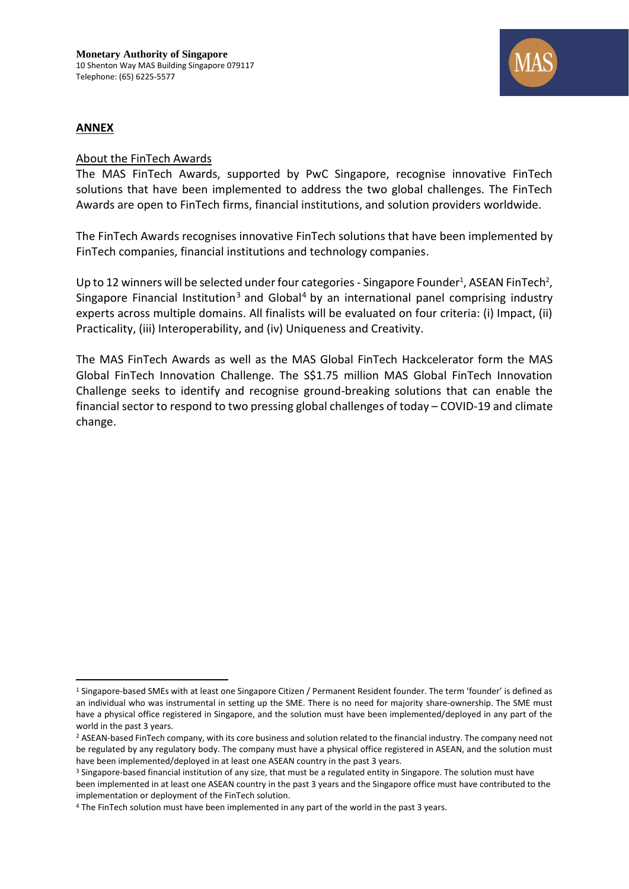

#### **ANNEX**

#### About the FinTech Awards

The MAS FinTech Awards, supported by PwC Singapore, recognise innovative FinTech solutions that have been implemented to address the two global challenges. The FinTech Awards are open to FinTech firms, financial institutions, and solution providers worldwide.

The FinTech Awards recognises innovative FinTech solutions that have been implemented by FinTech companies, financial institutions and technology companies.

Up to 12 winners will be selected under four categories - Singapore Founder<sup>1</sup>, ASEAN FinTech<sup>2</sup>, Singapore Financial Institution<sup>3</sup> and Global<sup>4</sup> by an international panel comprising industry experts across multiple domains. All finalists will be evaluated on four criteria: (i) Impact, (ii) Practicality, (iii) Interoperability, and (iv) Uniqueness and Creativity.

The MAS FinTech Awards as well as the MAS Global FinTech Hackcelerator form the MAS Global FinTech Innovation Challenge. The S\$1.75 million MAS Global FinTech Innovation Challenge seeks to identify and recognise ground-breaking solutions that can enable the financial sector to respond to two pressing global challenges of today – COVID-19 and climate change.

<sup>1</sup> Singapore-based SMEs with at least one Singapore Citizen / Permanent Resident founder. The term 'founder' is defined as an individual who was instrumental in setting up the SME. There is no need for majority share-ownership. The SME must have a physical office registered in Singapore, and the solution must have been implemented/deployed in any part of the world in the past 3 years.

<sup>&</sup>lt;sup>2</sup> ASEAN-based FinTech company, with its core business and solution related to the financial industry. The company need not be regulated by any regulatory body. The company must have a physical office registered in ASEAN, and the solution must have been implemented/deployed in at least one ASEAN country in the past 3 years.

<sup>&</sup>lt;sup>3</sup> Singapore-based financial institution of any size, that must be a regulated entity in Singapore. The solution must have been implemented in at least one ASEAN country in the past 3 years and the Singapore office must have contributed to the implementation or deployment of the FinTech solution.

<sup>4</sup> The FinTech solution must have been implemented in any part of the world in the past 3 years.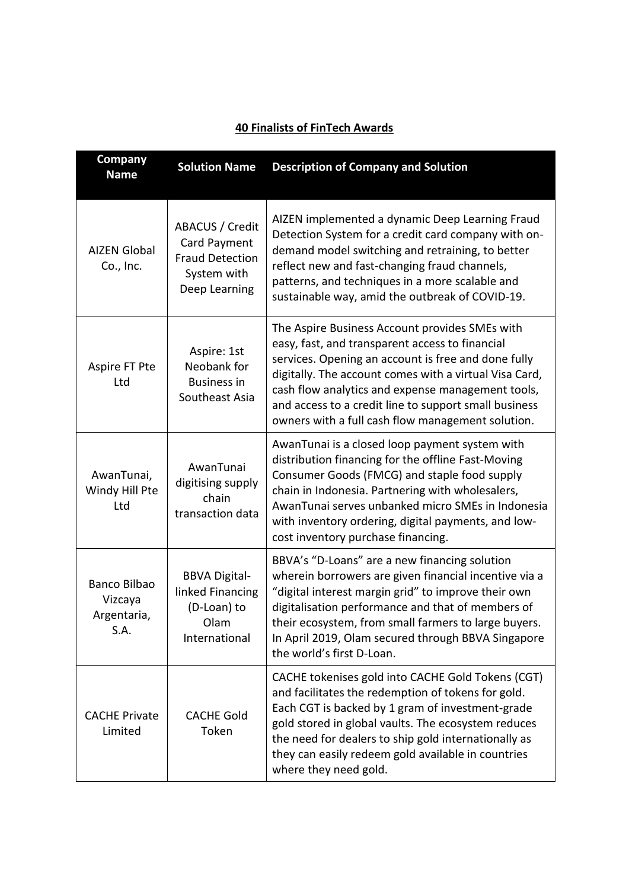| <b>Company</b><br><b>Name</b>                  | <b>Solution Name</b>                                                                                                                                                                                                                                                                                                                                                                                                                                        | <b>Description of Company and Solution</b>                                                                                                                                                                                                                                                                                                                 |
|------------------------------------------------|-------------------------------------------------------------------------------------------------------------------------------------------------------------------------------------------------------------------------------------------------------------------------------------------------------------------------------------------------------------------------------------------------------------------------------------------------------------|------------------------------------------------------------------------------------------------------------------------------------------------------------------------------------------------------------------------------------------------------------------------------------------------------------------------------------------------------------|
| <b>AIZEN Global</b><br>Co., Inc.               | AIZEN implemented a dynamic Deep Learning Fraud<br><b>ABACUS / Credit</b><br>Detection System for a credit card company with on-<br>Card Payment<br>demand model switching and retraining, to better<br><b>Fraud Detection</b><br>reflect new and fast-changing fraud channels,<br>System with<br>patterns, and techniques in a more scalable and<br>Deep Learning<br>sustainable way, amid the outbreak of COVID-19.                                       |                                                                                                                                                                                                                                                                                                                                                            |
| Aspire FT Pte<br>Ltd                           | The Aspire Business Account provides SMEs with<br>easy, fast, and transparent access to financial<br>Aspire: 1st<br>services. Opening an account is free and done fully<br>Neobank for<br>digitally. The account comes with a virtual Visa Card,<br><b>Business in</b><br>cash flow analytics and expense management tools,<br>Southeast Asia<br>and access to a credit line to support small business<br>owners with a full cash flow management solution. |                                                                                                                                                                                                                                                                                                                                                            |
| AwanTunai,<br>Windy Hill Pte<br>Ltd            | AwanTunai<br>digitising supply<br>chain<br>transaction data                                                                                                                                                                                                                                                                                                                                                                                                 | AwanTunai is a closed loop payment system with<br>distribution financing for the offline Fast-Moving<br>Consumer Goods (FMCG) and staple food supply<br>chain in Indonesia. Partnering with wholesalers,<br>AwanTunai serves unbanked micro SMEs in Indonesia<br>with inventory ordering, digital payments, and low-<br>cost inventory purchase financing. |
| Banco Bilbao<br>Vizcaya<br>Argentaria,<br>S.A. | BBVA's "D-Loans" are a new financing solution<br>wherein borrowers are given financial incentive via a<br><b>BBVA Digital-</b><br>linked Financing<br>"digital interest margin grid" to improve their own<br>(D-Loan) to<br>digitalisation performance and that of members of<br>their ecosystem, from small farmers to large buyers.<br>Olam<br>In April 2019, Olam secured through BBVA Singapore<br>International<br>the world's first D-Loan.           |                                                                                                                                                                                                                                                                                                                                                            |
| <b>CACHE Private</b><br>Limited                | <b>CACHE Gold</b><br>Token                                                                                                                                                                                                                                                                                                                                                                                                                                  | CACHE tokenises gold into CACHE Gold Tokens (CGT)<br>and facilitates the redemption of tokens for gold.<br>Each CGT is backed by 1 gram of investment-grade<br>gold stored in global vaults. The ecosystem reduces<br>the need for dealers to ship gold internationally as<br>they can easily redeem gold available in countries<br>where they need gold.  |

# **40 Finalists of FinTech Awards**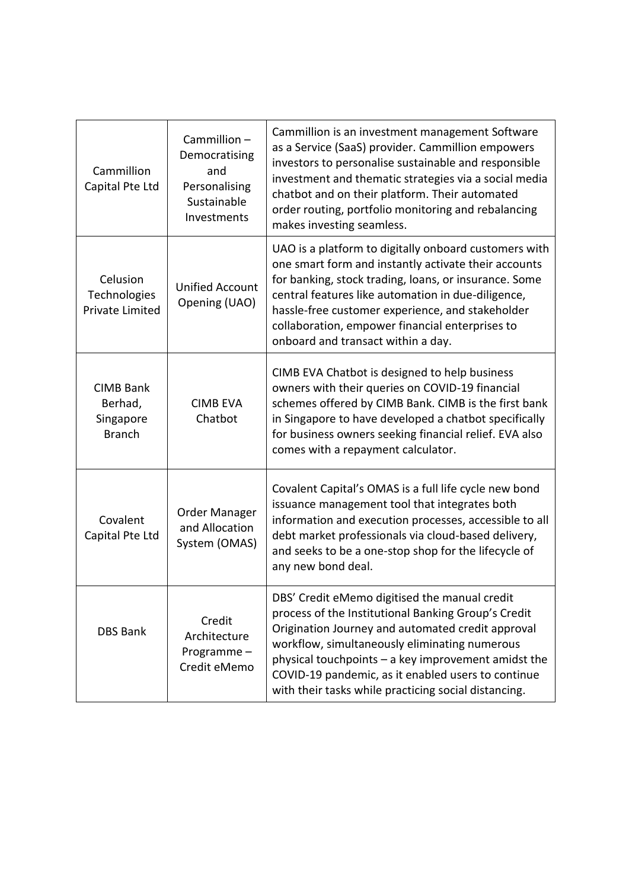| Cammillion-<br>Democratising<br>Cammillion<br>and<br>Capital Pte Ltd<br>Personalising<br>Sustainable<br>Investments |                                         | Cammillion is an investment management Software<br>as a Service (SaaS) provider. Cammillion empowers<br>investors to personalise sustainable and responsible<br>investment and thematic strategies via a social media<br>chatbot and on their platform. Their automated<br>order routing, portfolio monitoring and rebalancing<br>makes investing seamless.                     |
|---------------------------------------------------------------------------------------------------------------------|-----------------------------------------|---------------------------------------------------------------------------------------------------------------------------------------------------------------------------------------------------------------------------------------------------------------------------------------------------------------------------------------------------------------------------------|
| Celusion<br>Technologies<br><b>Private Limited</b>                                                                  | <b>Unified Account</b><br>Opening (UAO) | UAO is a platform to digitally onboard customers with<br>one smart form and instantly activate their accounts<br>for banking, stock trading, loans, or insurance. Some<br>central features like automation in due-diligence,<br>hassle-free customer experience, and stakeholder<br>collaboration, empower financial enterprises to<br>onboard and transact within a day.       |
| <b>CIMB Bank</b><br>Berhad,<br>Singapore<br><b>Branch</b>                                                           | <b>CIMB EVA</b><br>Chatbot              | CIMB EVA Chatbot is designed to help business<br>owners with their queries on COVID-19 financial<br>schemes offered by CIMB Bank. CIMB is the first bank<br>in Singapore to have developed a chatbot specifically<br>for business owners seeking financial relief. EVA also<br>comes with a repayment calculator.                                                               |
| Order Manager<br>Covalent<br>and Allocation<br>Capital Pte Ltd<br>System (OMAS)                                     |                                         | Covalent Capital's OMAS is a full life cycle new bond<br>issuance management tool that integrates both<br>information and execution processes, accessible to all<br>debt market professionals via cloud-based delivery,<br>and seeks to be a one-stop shop for the lifecycle of<br>any new bond deal.                                                                           |
| Credit<br><b>DBS Bank</b><br>Architecture<br>Programme-<br>Credit eMemo                                             |                                         | DBS' Credit eMemo digitised the manual credit<br>process of the Institutional Banking Group's Credit<br>Origination Journey and automated credit approval<br>workflow, simultaneously eliminating numerous<br>physical touchpoints - a key improvement amidst the<br>COVID-19 pandemic, as it enabled users to continue<br>with their tasks while practicing social distancing. |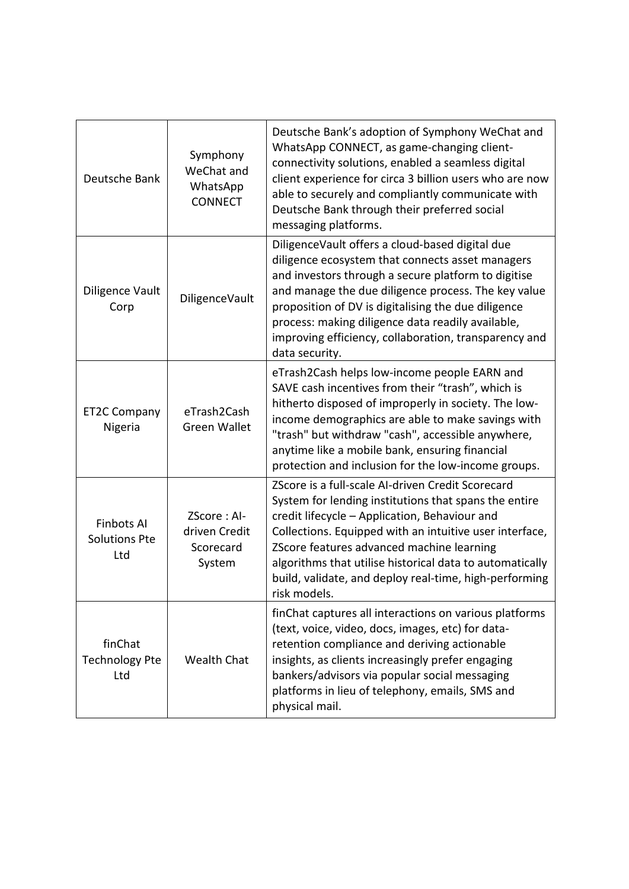| Deutsche Bank                                                                                           | Symphony<br>WeChat and<br>WhatsApp<br><b>CONNECT</b> | Deutsche Bank's adoption of Symphony WeChat and<br>WhatsApp CONNECT, as game-changing client-<br>connectivity solutions, enabled a seamless digital<br>client experience for circa 3 billion users who are now<br>able to securely and compliantly communicate with<br>Deutsche Bank through their preferred social<br>messaging platforms.                                                               |
|---------------------------------------------------------------------------------------------------------|------------------------------------------------------|-----------------------------------------------------------------------------------------------------------------------------------------------------------------------------------------------------------------------------------------------------------------------------------------------------------------------------------------------------------------------------------------------------------|
| Diligence Vault<br>Corp                                                                                 | DiligenceVault                                       | DiligenceVault offers a cloud-based digital due<br>diligence ecosystem that connects asset managers<br>and investors through a secure platform to digitise<br>and manage the due diligence process. The key value<br>proposition of DV is digitalising the due diligence<br>process: making diligence data readily available,<br>improving efficiency, collaboration, transparency and<br>data security.  |
| <b>ET2C Company</b><br>Nigeria                                                                          | eTrash2Cash<br><b>Green Wallet</b>                   | eTrash2Cash helps low-income people EARN and<br>SAVE cash incentives from their "trash", which is<br>hitherto disposed of improperly in society. The low-<br>income demographics are able to make savings with<br>"trash" but withdraw "cash", accessible anywhere,<br>anytime like a mobile bank, ensuring financial<br>protection and inclusion for the low-income groups.                              |
| ZScore: Al-<br><b>Finbots AI</b><br>driven Credit<br><b>Solutions Pte</b><br>Scorecard<br>Ltd<br>System |                                                      | ZScore is a full-scale AI-driven Credit Scorecard<br>System for lending institutions that spans the entire<br>credit lifecycle - Application, Behaviour and<br>Collections. Equipped with an intuitive user interface,<br>ZScore features advanced machine learning<br>algorithms that utilise historical data to automatically<br>build, validate, and deploy real-time, high-performing<br>risk models. |
| finChat<br><b>Technology Pte</b><br><b>Wealth Chat</b><br>Ltd                                           |                                                      | finChat captures all interactions on various platforms<br>(text, voice, video, docs, images, etc) for data-<br>retention compliance and deriving actionable<br>insights, as clients increasingly prefer engaging<br>bankers/advisors via popular social messaging<br>platforms in lieu of telephony, emails, SMS and<br>physical mail.                                                                    |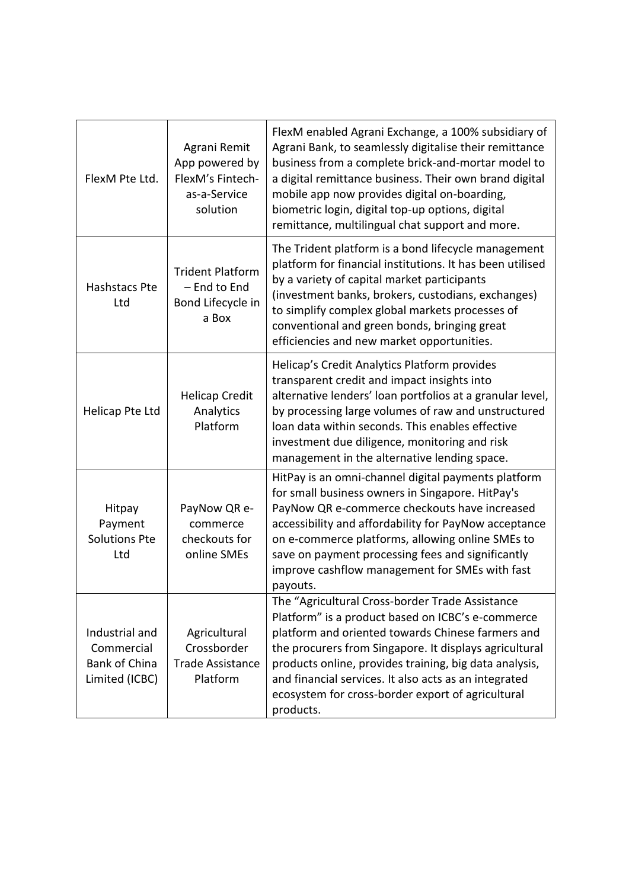| FlexM Pte Ltd.                                                                                                                               | Agrani Remit<br>App powered by<br>FlexM's Fintech-<br>as-a-Service<br>solution | FlexM enabled Agrani Exchange, a 100% subsidiary of<br>Agrani Bank, to seamlessly digitalise their remittance<br>business from a complete brick-and-mortar model to<br>a digital remittance business. Their own brand digital<br>mobile app now provides digital on-boarding,<br>biometric login, digital top-up options, digital<br>remittance, multilingual chat support and more.                     |
|----------------------------------------------------------------------------------------------------------------------------------------------|--------------------------------------------------------------------------------|----------------------------------------------------------------------------------------------------------------------------------------------------------------------------------------------------------------------------------------------------------------------------------------------------------------------------------------------------------------------------------------------------------|
| Hashstacs Pte<br>Ltd                                                                                                                         | <b>Trident Platform</b><br>- End to End<br>Bond Lifecycle in<br>a Box          | The Trident platform is a bond lifecycle management<br>platform for financial institutions. It has been utilised<br>by a variety of capital market participants<br>(investment banks, brokers, custodians, exchanges)<br>to simplify complex global markets processes of<br>conventional and green bonds, bringing great<br>efficiencies and new market opportunities.                                   |
| Helicap Pte Ltd                                                                                                                              | <b>Helicap Credit</b><br>Analytics<br>Platform                                 | Helicap's Credit Analytics Platform provides<br>transparent credit and impact insights into<br>alternative lenders' loan portfolios at a granular level,<br>by processing large volumes of raw and unstructured<br>loan data within seconds. This enables effective<br>investment due diligence, monitoring and risk<br>management in the alternative lending space.                                     |
| Hitpay<br>PayNow QR e-<br>Payment<br>commerce<br><b>Solutions Pte</b><br>checkouts for<br>online SMEs<br>Ltd                                 |                                                                                | HitPay is an omni-channel digital payments platform<br>for small business owners in Singapore. HitPay's<br>PayNow QR e-commerce checkouts have increased<br>accessibility and affordability for PayNow acceptance<br>on e-commerce platforms, allowing online SMEs to<br>save on payment processing fees and significantly<br>improve cashflow management for SMEs with fast<br>payouts.                 |
| Industrial and<br>Agricultural<br>Crossborder<br>Commercial<br><b>Bank of China</b><br><b>Trade Assistance</b><br>Limited (ICBC)<br>Platform |                                                                                | The "Agricultural Cross-border Trade Assistance<br>Platform" is a product based on ICBC's e-commerce<br>platform and oriented towards Chinese farmers and<br>the procurers from Singapore. It displays agricultural<br>products online, provides training, big data analysis,<br>and financial services. It also acts as an integrated<br>ecosystem for cross-border export of agricultural<br>products. |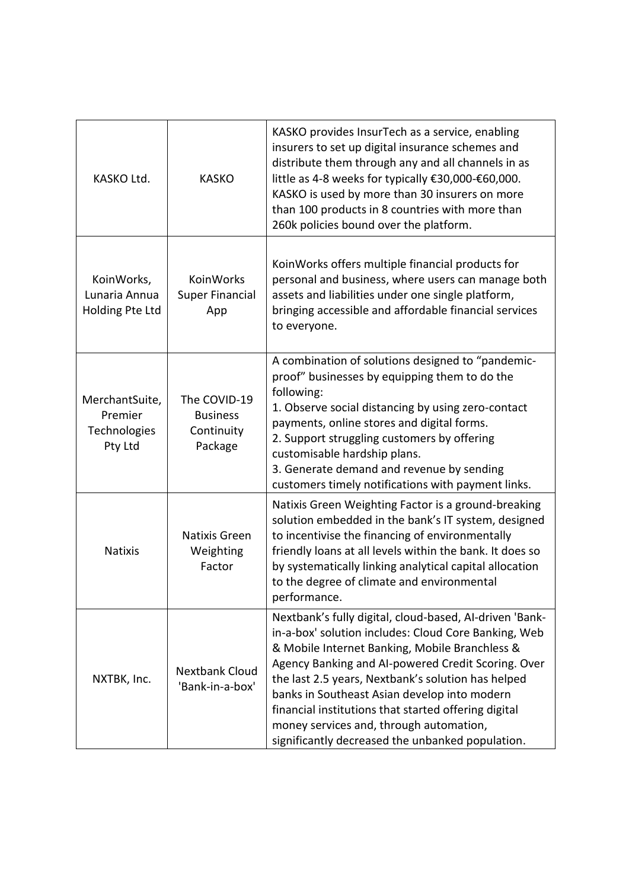| KASKO Ltd.                                              | KASKO provides InsurTech as a service, enabling<br>insurers to set up digital insurance schemes and<br>distribute them through any and all channels in as<br><b>KASKO</b><br>little as 4-8 weeks for typically €30,000-€60,000.<br>KASKO is used by more than 30 insurers on more<br>than 100 products in 8 countries with more than<br>260k policies bound over the platform.                                                                                     |                                                                                                                                                                                                                                                                                                                                                                                                                                                                                      |
|---------------------------------------------------------|--------------------------------------------------------------------------------------------------------------------------------------------------------------------------------------------------------------------------------------------------------------------------------------------------------------------------------------------------------------------------------------------------------------------------------------------------------------------|--------------------------------------------------------------------------------------------------------------------------------------------------------------------------------------------------------------------------------------------------------------------------------------------------------------------------------------------------------------------------------------------------------------------------------------------------------------------------------------|
| KoinWorks,<br>Lunaria Annua<br>Holding Pte Ltd          | KoinWorks offers multiple financial products for<br>KoinWorks<br>personal and business, where users can manage both<br><b>Super Financial</b><br>assets and liabilities under one single platform,<br>bringing accessible and affordable financial services<br>App<br>to everyone.                                                                                                                                                                                 |                                                                                                                                                                                                                                                                                                                                                                                                                                                                                      |
| MerchantSuite,<br>Premier<br>Technologies<br>Pty Ltd    | A combination of solutions designed to "pandemic-<br>proof" businesses by equipping them to do the<br>following:<br>The COVID-19<br>1. Observe social distancing by using zero-contact<br><b>Business</b><br>payments, online stores and digital forms.<br>Continuity<br>2. Support struggling customers by offering<br>Package<br>customisable hardship plans.<br>3. Generate demand and revenue by sending<br>customers timely notifications with payment links. |                                                                                                                                                                                                                                                                                                                                                                                                                                                                                      |
| Natixis Green<br><b>Natixis</b><br>Weighting<br>Factor  |                                                                                                                                                                                                                                                                                                                                                                                                                                                                    | Natixis Green Weighting Factor is a ground-breaking<br>solution embedded in the bank's IT system, designed<br>to incentivise the financing of environmentally<br>friendly loans at all levels within the bank. It does so<br>by systematically linking analytical capital allocation<br>to the degree of climate and environmental<br>performance.                                                                                                                                   |
| <b>Nextbank Cloud</b><br>NXTBK, Inc.<br>'Bank-in-a-box' |                                                                                                                                                                                                                                                                                                                                                                                                                                                                    | Nextbank's fully digital, cloud-based, AI-driven 'Bank-<br>in-a-box' solution includes: Cloud Core Banking, Web<br>& Mobile Internet Banking, Mobile Branchless &<br>Agency Banking and AI-powered Credit Scoring. Over<br>the last 2.5 years, Nextbank's solution has helped<br>banks in Southeast Asian develop into modern<br>financial institutions that started offering digital<br>money services and, through automation,<br>significantly decreased the unbanked population. |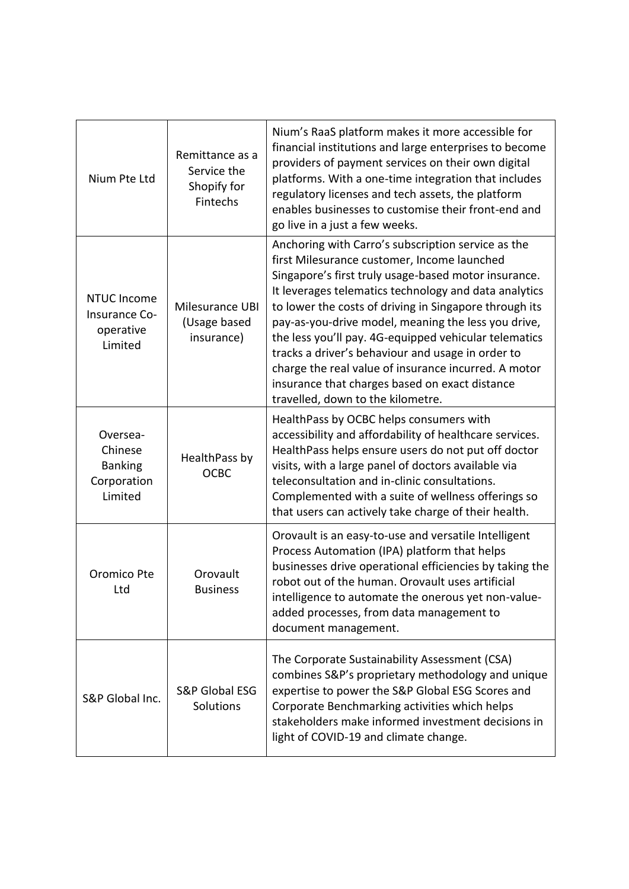| Nium Pte Ltd                                                    | Remittance as a<br>Service the<br>Shopify for<br>Fintechs | Nium's RaaS platform makes it more accessible for<br>financial institutions and large enterprises to become<br>providers of payment services on their own digital<br>platforms. With a one-time integration that includes<br>regulatory licenses and tech assets, the platform<br>enables businesses to customise their front-end and<br>go live in a just a few weeks.                                                                                                                                                                                                                          |
|-----------------------------------------------------------------|-----------------------------------------------------------|--------------------------------------------------------------------------------------------------------------------------------------------------------------------------------------------------------------------------------------------------------------------------------------------------------------------------------------------------------------------------------------------------------------------------------------------------------------------------------------------------------------------------------------------------------------------------------------------------|
| <b>NTUC Income</b><br>Insurance Co-<br>operative<br>Limited     | Milesurance UBI<br>(Usage based<br>insurance)             | Anchoring with Carro's subscription service as the<br>first Milesurance customer, Income launched<br>Singapore's first truly usage-based motor insurance.<br>It leverages telematics technology and data analytics<br>to lower the costs of driving in Singapore through its<br>pay-as-you-drive model, meaning the less you drive,<br>the less you'll pay. 4G-equipped vehicular telematics<br>tracks a driver's behaviour and usage in order to<br>charge the real value of insurance incurred. A motor<br>insurance that charges based on exact distance<br>travelled, down to the kilometre. |
| Oversea-<br>Chinese<br><b>Banking</b><br>Corporation<br>Limited | HealthPass by<br><b>OCBC</b>                              | HealthPass by OCBC helps consumers with<br>accessibility and affordability of healthcare services.<br>HealthPass helps ensure users do not put off doctor<br>visits, with a large panel of doctors available via<br>teleconsultation and in-clinic consultations.<br>Complemented with a suite of wellness offerings so<br>that users can actively take charge of their health.                                                                                                                                                                                                                  |
| Oromico Pte<br>Ltd                                              | Orovault<br><b>Business</b>                               | Orovault is an easy-to-use and versatile Intelligent<br>Process Automation (IPA) platform that helps<br>businesses drive operational efficiencies by taking the<br>robot out of the human. Orovault uses artificial<br>intelligence to automate the onerous yet non-value-<br>added processes, from data management to<br>document management.                                                                                                                                                                                                                                                   |
| S&P Global Inc.                                                 | <b>S&amp;P Global ESG</b><br>Solutions                    | The Corporate Sustainability Assessment (CSA)<br>combines S&P's proprietary methodology and unique<br>expertise to power the S&P Global ESG Scores and<br>Corporate Benchmarking activities which helps<br>stakeholders make informed investment decisions in<br>light of COVID-19 and climate change.                                                                                                                                                                                                                                                                                           |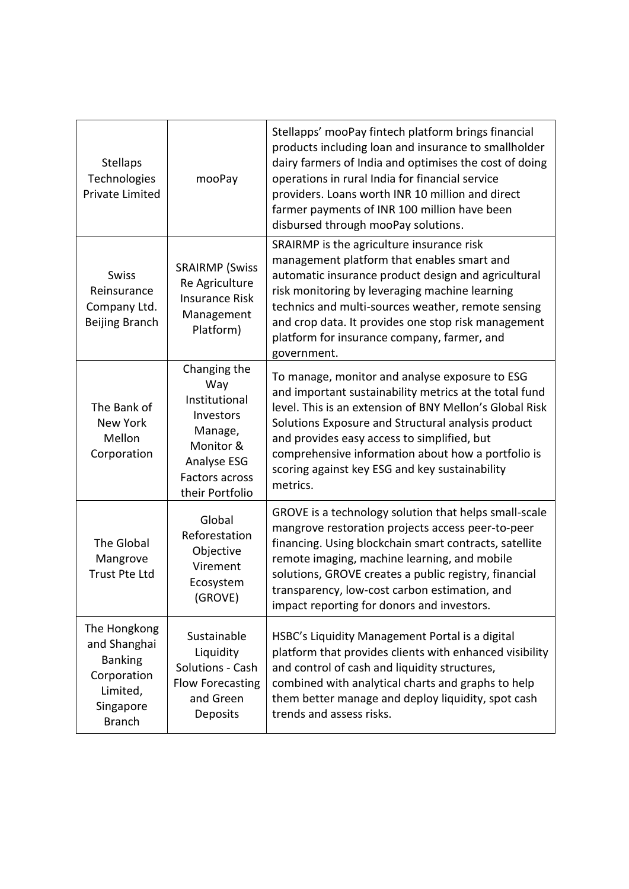| <b>Stellaps</b><br>Technologies<br><b>Private Limited</b>                                               | mooPay                                                                                                                        | Stellapps' mooPay fintech platform brings financial<br>products including loan and insurance to smallholder<br>dairy farmers of India and optimises the cost of doing<br>operations in rural India for financial service<br>providers. Loans worth INR 10 million and direct<br>farmer payments of INR 100 million have been<br>disbursed through mooPay solutions.                          |  |
|---------------------------------------------------------------------------------------------------------|-------------------------------------------------------------------------------------------------------------------------------|----------------------------------------------------------------------------------------------------------------------------------------------------------------------------------------------------------------------------------------------------------------------------------------------------------------------------------------------------------------------------------------------|--|
| <b>Swiss</b><br>Reinsurance<br>Company Ltd.<br>Beijing Branch                                           | <b>SRAIRMP (Swiss</b><br>Re Agriculture<br><b>Insurance Risk</b><br>Management<br>Platform)                                   | SRAIRMP is the agriculture insurance risk<br>management platform that enables smart and<br>automatic insurance product design and agricultural<br>risk monitoring by leveraging machine learning<br>technics and multi-sources weather, remote sensing<br>and crop data. It provides one stop risk management<br>platform for insurance company, farmer, and<br>government.                  |  |
| The Bank of<br>New York<br>Mellon<br>Corporation                                                        | Changing the<br>Way<br>Institutional<br>Investors<br>Manage,<br>Monitor &<br>Analyse ESG<br>Factors across<br>their Portfolio | To manage, monitor and analyse exposure to ESG<br>and important sustainability metrics at the total fund<br>level. This is an extension of BNY Mellon's Global Risk<br>Solutions Exposure and Structural analysis product<br>and provides easy access to simplified, but<br>comprehensive information about how a portfolio is<br>scoring against key ESG and key sustainability<br>metrics. |  |
| The Global<br>Mangrove<br>Trust Pte Ltd                                                                 | Global<br>Reforestation<br>Objective<br>Virement<br>Ecosystem<br>(GROVE)                                                      | GROVE is a technology solution that helps small-scale<br>mangrove restoration projects access peer-to-peer<br>financing. Using blockchain smart contracts, satellite<br>remote imaging, machine learning, and mobile<br>solutions, GROVE creates a public registry, financial<br>transparency, low-cost carbon estimation, and<br>impact reporting for donors and investors.                 |  |
| The Hongkong<br>and Shanghai<br><b>Banking</b><br>Corporation<br>Limited,<br>Singapore<br><b>Branch</b> | Sustainable<br>Liquidity<br>Solutions - Cash<br><b>Flow Forecasting</b><br>and Green<br>Deposits                              | HSBC's Liquidity Management Portal is a digital<br>platform that provides clients with enhanced visibility<br>and control of cash and liquidity structures,<br>combined with analytical charts and graphs to help<br>them better manage and deploy liquidity, spot cash<br>trends and assess risks.                                                                                          |  |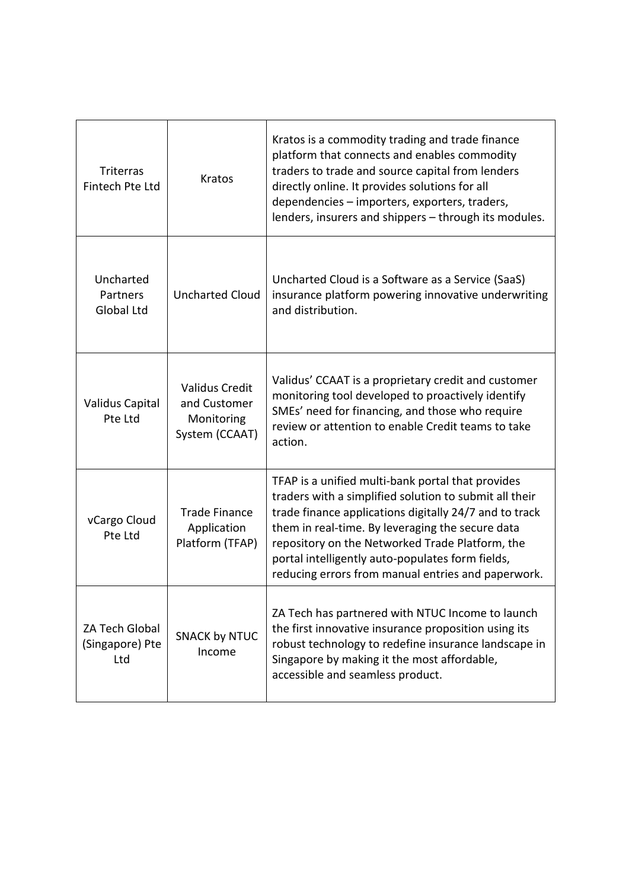| <b>Triterras</b><br>Fintech Pte Ltd                                               | <b>Kratos</b>                                                                                                                                                                                                                                                                                                                                                                                                                                    | Kratos is a commodity trading and trade finance<br>platform that connects and enables commodity<br>traders to trade and source capital from lenders<br>directly online. It provides solutions for all<br>dependencies - importers, exporters, traders,<br>lenders, insurers and shippers – through its modules. |
|-----------------------------------------------------------------------------------|--------------------------------------------------------------------------------------------------------------------------------------------------------------------------------------------------------------------------------------------------------------------------------------------------------------------------------------------------------------------------------------------------------------------------------------------------|-----------------------------------------------------------------------------------------------------------------------------------------------------------------------------------------------------------------------------------------------------------------------------------------------------------------|
| Uncharted<br>Partners<br>Global Ltd                                               | Uncharted Cloud is a Software as a Service (SaaS)<br><b>Uncharted Cloud</b><br>insurance platform powering innovative underwriting<br>and distribution.                                                                                                                                                                                                                                                                                          |                                                                                                                                                                                                                                                                                                                 |
| Validus Capital<br>Pte Ltd                                                        | <b>Validus Credit</b><br>and Customer<br>Monitoring<br>System (CCAAT)                                                                                                                                                                                                                                                                                                                                                                            | Validus' CCAAT is a proprietary credit and customer<br>monitoring tool developed to proactively identify<br>SMEs' need for financing, and those who require<br>review or attention to enable Credit teams to take<br>action.                                                                                    |
| vCargo Cloud<br>Pte Ltd                                                           | TFAP is a unified multi-bank portal that provides<br>traders with a simplified solution to submit all their<br>trade finance applications digitally 24/7 and to track<br><b>Trade Finance</b><br>them in real-time. By leveraging the secure data<br>Application<br>Platform (TFAP)<br>repository on the Networked Trade Platform, the<br>portal intelligently auto-populates form fields,<br>reducing errors from manual entries and paperwork. |                                                                                                                                                                                                                                                                                                                 |
| <b>ZA Tech Global</b><br><b>SNACK by NTUC</b><br>(Singapore) Pte<br>Income<br>Ltd |                                                                                                                                                                                                                                                                                                                                                                                                                                                  | ZA Tech has partnered with NTUC Income to launch<br>the first innovative insurance proposition using its<br>robust technology to redefine insurance landscape in<br>Singapore by making it the most affordable,<br>accessible and seamless product.                                                             |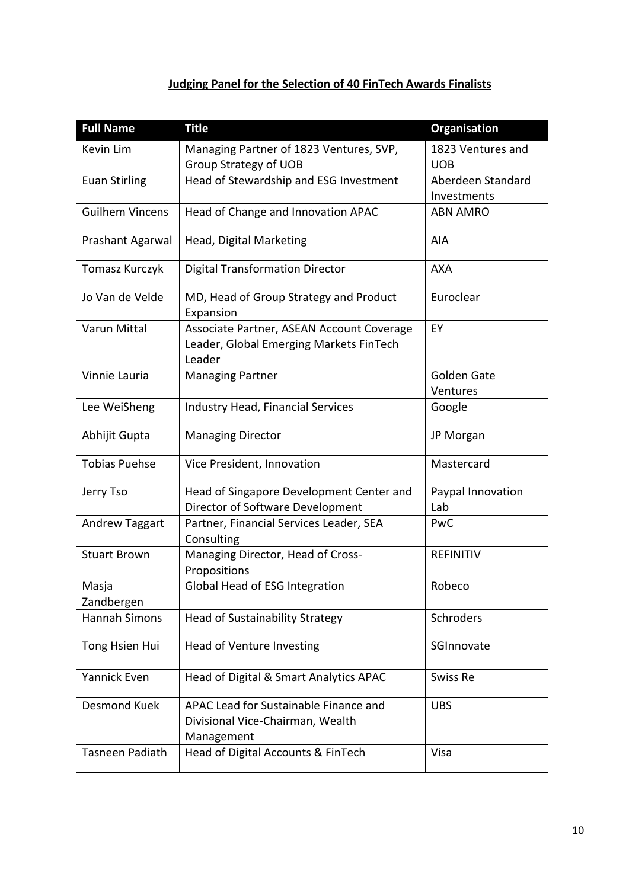# **Judging Panel for the Selection of 40 FinTech Awards Finalists**

| <b>Full Name</b>       | <b>Title</b>                                                                                   | <b>Organisation</b>              |
|------------------------|------------------------------------------------------------------------------------------------|----------------------------------|
| Kevin Lim              | Managing Partner of 1823 Ventures, SVP,<br>Group Strategy of UOB                               | 1823 Ventures and<br><b>UOB</b>  |
| <b>Euan Stirling</b>   | Head of Stewardship and ESG Investment                                                         | Aberdeen Standard<br>Investments |
| <b>Guilhem Vincens</b> | Head of Change and Innovation APAC                                                             | <b>ABN AMRO</b>                  |
| Prashant Agarwal       | Head, Digital Marketing                                                                        | AIA                              |
| Tomasz Kurczyk         | <b>Digital Transformation Director</b>                                                         | <b>AXA</b>                       |
| Jo Van de Velde        | MD, Head of Group Strategy and Product<br>Expansion                                            | Euroclear                        |
| Varun Mittal           | Associate Partner, ASEAN Account Coverage<br>Leader, Global Emerging Markets FinTech<br>Leader | EY                               |
| Vinnie Lauria          | <b>Managing Partner</b>                                                                        | Golden Gate<br>Ventures          |
| Lee WeiSheng           | <b>Industry Head, Financial Services</b>                                                       | Google                           |
| Abhijit Gupta          | <b>Managing Director</b>                                                                       | JP Morgan                        |
| <b>Tobias Puehse</b>   | Vice President, Innovation                                                                     | Mastercard                       |
| Jerry Tso              | Head of Singapore Development Center and<br>Director of Software Development                   | Paypal Innovation<br>Lab         |
| <b>Andrew Taggart</b>  | Partner, Financial Services Leader, SEA<br>Consulting                                          | PwC                              |
| <b>Stuart Brown</b>    | Managing Director, Head of Cross-<br>Propositions                                              | <b>REFINITIV</b>                 |
| Masja<br>Zandbergen    | Global Head of ESG Integration                                                                 | Robeco                           |
| <b>Hannah Simons</b>   | <b>Head of Sustainability Strategy</b>                                                         | Schroders                        |
| Tong Hsien Hui         | Head of Venture Investing                                                                      | SGInnovate                       |
| Yannick Even           | Head of Digital & Smart Analytics APAC                                                         | Swiss Re                         |
| <b>Desmond Kuek</b>    | APAC Lead for Sustainable Finance and<br>Divisional Vice-Chairman, Wealth<br>Management        | <b>UBS</b>                       |
| Tasneen Padiath        | Head of Digital Accounts & FinTech                                                             | Visa                             |